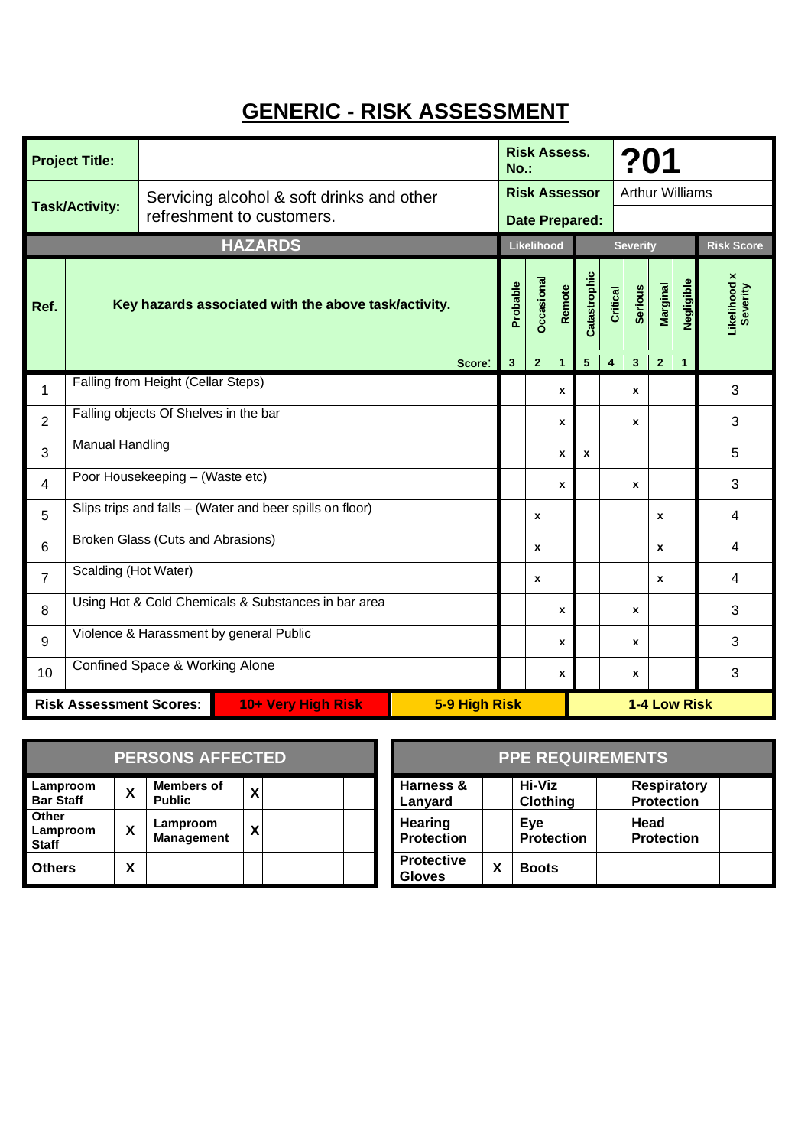## **GENERIC - RISK ASSESSMENT**

| <b>Project Title:</b>                                                 |                                                          |                                           |                                                      |        | <b>Risk Assess.</b><br>$No.$ : |                   |              |                       | ?01             |                        |              |              |                          |
|-----------------------------------------------------------------------|----------------------------------------------------------|-------------------------------------------|------------------------------------------------------|--------|--------------------------------|-------------------|--------------|-----------------------|-----------------|------------------------|--------------|--------------|--------------------------|
| <b>Task/Activity:</b>                                                 |                                                          | Servicing alcohol & soft drinks and other |                                                      |        | <b>Risk Assessor</b>           |                   |              |                       |                 | <b>Arthur Williams</b> |              |              |                          |
|                                                                       |                                                          | refreshment to customers.                 |                                                      |        |                                |                   |              | <b>Date Prepared:</b> |                 |                        |              |              |                          |
|                                                                       |                                                          |                                           | <b>HAZARDS</b>                                       |        |                                | Likelihood        |              |                       |                 | <b>Severity</b>        |              |              | <b>Risk Score</b>        |
| Ref.                                                                  |                                                          |                                           | Key hazards associated with the above task/activity. |        | Probable                       | <b>Dccasional</b> | Remote       | Catastrophic          | <b>Critical</b> | <b>Serious</b>         | Marginal     | Negligible   | Likelihood x<br>Severity |
|                                                                       |                                                          |                                           |                                                      | Score: | $\mathbf{3}$                   | $\overline{2}$    | 1            | $5\phantom{.0}$       | 4               | $\mathbf{3}$           | $\mathbf{2}$ | $\mathbf{1}$ |                          |
| $\mathbf{1}$                                                          | Falling from Height (Cellar Steps)                       |                                           |                                                      |        |                                |                   | $\mathbf{x}$ |                       |                 | x                      |              |              | 3                        |
| $\overline{2}$                                                        | Falling objects Of Shelves in the bar                    |                                           |                                                      |        |                                |                   | $\mathbf{x}$ |                       |                 | x                      |              |              | 3                        |
| 3                                                                     | <b>Manual Handling</b>                                   |                                           |                                                      |        |                                |                   | $\mathbf x$  | x                     |                 |                        |              |              | 5                        |
| $\overline{4}$                                                        | Poor Housekeeping - (Waste etc)                          |                                           |                                                      |        |                                |                   | $\mathbf x$  |                       |                 | x                      |              |              | 3                        |
| 5                                                                     | Slips trips and falls - (Water and beer spills on floor) |                                           |                                                      |        |                                | X                 |              |                       |                 |                        | $\mathbf x$  |              | 4                        |
| 6                                                                     | Broken Glass (Cuts and Abrasions)                        |                                           |                                                      |        |                                | x                 |              |                       |                 |                        | $\mathbf x$  |              | 4                        |
| $\overline{7}$                                                        | Scalding (Hot Water)                                     |                                           |                                                      |        |                                | x                 |              |                       |                 |                        | $\mathbf x$  |              | 4                        |
| 8                                                                     | Using Hot & Cold Chemicals & Substances in bar area      |                                           |                                                      |        |                                |                   | $\mathbf{x}$ |                       |                 | $\mathbf{x}$           |              |              | 3                        |
| 9                                                                     | Violence & Harassment by general Public                  |                                           |                                                      |        |                                |                   | $\mathbf{x}$ |                       |                 | x                      |              |              | 3                        |
| 10                                                                    |                                                          | Confined Space & Working Alone            |                                                      |        |                                |                   | $\mathbf{x}$ |                       |                 | x                      |              |              | 3                        |
| <b>Risk Assessment Scores:</b><br>10+ Very High Risk<br>5-9 High Risk |                                                          |                                           |                                                      |        | 1-4 Low Risk                   |                   |              |                       |                 |                        |              |              |                          |

| <b>PERSONS AFFECTED</b>           |   |                                    |   |  |  |  |  |
|-----------------------------------|---|------------------------------------|---|--|--|--|--|
| Lamproom<br><b>Bar Staff</b>      | X | <b>Members of</b><br><b>Public</b> | χ |  |  |  |  |
| Other<br>Lamproom<br><b>Staff</b> | X | Lamproom<br><b>Management</b>      | χ |  |  |  |  |
| <b>Others</b>                     | x |                                    |   |  |  |  |  |

|   | <b>PERSONS AFFECTED</b>            |        | <b>PPE REQUIREMENTS</b>            |   |                           |  |                                         |  |  |
|---|------------------------------------|--------|------------------------------------|---|---------------------------|--|-----------------------------------------|--|--|
| X | <b>Members of</b><br><b>Public</b> | v<br>^ | Harness &<br>Lanyard               |   | Hi-Viz<br><b>Clothing</b> |  | <b>Respiratory</b><br><b>Protection</b> |  |  |
| χ | Lamproom<br><b>Management</b>      | v      | Hearing<br><b>Protection</b>       |   | Eye<br><b>Protection</b>  |  | Head<br><b>Protection</b>               |  |  |
| χ |                                    |        | <b>Protective</b><br><b>Gloves</b> | χ | <b>Boots</b>              |  |                                         |  |  |